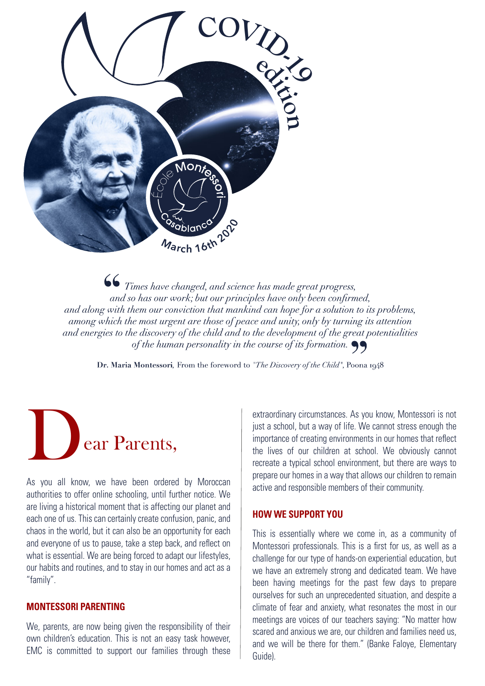

Times have changed, and science has made great progress, and so has our work; but our principles have only been confirmed, and along with them our conviction that mankind can hope for a solution to its problems, among which the most urgent are those of peace and unity, only by turning its attention and energies to the discovery of the child and to the development of the great potentialities of the human personality in the course of its formation.  $\bullet \bullet$ 

Dr. Maria Montessori, From the foreword to "The Discovery of the Child", Poona 1948



As you all know, we have been ordered by Moroccan authorities to offer online schooling, until further notice. We are living a historical moment that is affecting our planet and each one of us. This can certainly create confusion, panic, and chaos in the world, but it can also be an opportunity for each and everyone of us to pause, take a step back, and reflect on what is essential. We are being forced to adapt our lifestyles, our habits and routines, and to stay in our homes and act as a "family".

## **MONTESSORI PARENTING**

We, parents, are now being given the responsibility of their own children's education. This is not an easy task however, EMC is committed to support our families through these

extraordinary circumstances. As you know, Montessori is not just a school, but a way of life. We cannot stress enough the importance of creating environments in our homes that reflect the lives of our children at school. We obviously cannot recreate a typical school environment, but there are ways to prepare our homes in a way that allows our children to remain active and responsible members of their community.

## **HOW WE SUPPORT YOU**

This is essentially where we come in, as a community of Montessori professionals. This is a first for us, as well as a challenge for our type of hands-on experiential education, but we have an extremely strong and dedicated team. We have been having meetings for the past few days to prepare ourselves for such an unprecedented situation, and despite a climate of fear and anxiety, what resonates the most in our meetings are voices of our teachers saying: "No matter how scared and anxious we are, our children and families need us, and we will be there for them." (Banke Faloye, Elementary Guide).